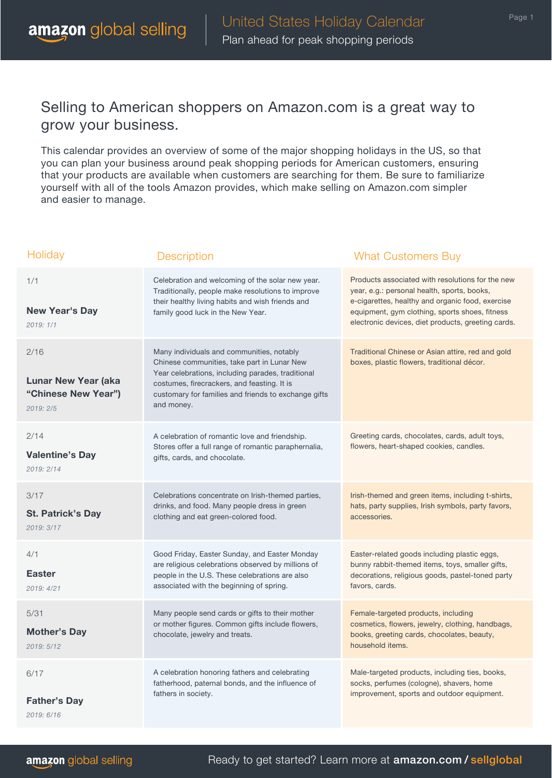## Selling to American shoppers on Amazon.com is a great way to grow your business.

This calendar provides an overview of some of the major shopping holidays in the US, so that you can plan your business around peak shopping periods for American customers, ensuring that your products are available when customers are searching for them. Be sure to familiarize yourself with all of the tools Amazon provides, which make selling on Amazon.com simpler and easier to manage.

| Holiday                                                               | <b>Description</b>                                                                                                                                                                                                                                                 | <b>What Customers Buy</b>                                                                                                                                                                                                                                   |
|-----------------------------------------------------------------------|--------------------------------------------------------------------------------------------------------------------------------------------------------------------------------------------------------------------------------------------------------------------|-------------------------------------------------------------------------------------------------------------------------------------------------------------------------------------------------------------------------------------------------------------|
| 1/1<br>New Year's Day<br>2019:1/1                                     | Celebration and welcoming of the solar new year.<br>Traditionally, people make resolutions to improve<br>their healthy living habits and wish friends and<br>family good luck in the New Year.                                                                     | Products associated with resolutions for the new<br>year, e.g.: personal health, sports, books,<br>e-cigarettes, healthy and organic food, exercise<br>equipment, gym clothing, sports shoes, fitness<br>electronic devices, diet products, greeting cards. |
| 2/16<br><b>Lunar New Year (aka</b><br>"Chinese New Year")<br>2019:2/5 | Many individuals and communities, notably<br>Chinese communities, take part in Lunar New<br>Year celebrations, including parades, traditional<br>costumes, firecrackers, and feasting. It is<br>customary for families and friends to exchange gifts<br>and money. | Traditional Chinese or Asian attire, red and gold<br>boxes, plastic flowers, traditional décor.                                                                                                                                                             |
| 2/14<br><b>Valentine's Day</b><br>2019: 2/14                          | A celebration of romantic love and friendship.<br>Stores offer a full range of romantic paraphernalia,<br>gifts, cards, and chocolate.                                                                                                                             | Greeting cards, chocolates, cards, adult toys,<br>flowers, heart-shaped cookies, candles.                                                                                                                                                                   |
| 3/17<br><b>St. Patrick's Day</b><br>2019: 3/17                        | Celebrations concentrate on Irish-themed parties,<br>drinks, and food. Many people dress in green<br>clothing and eat green-colored food.                                                                                                                          | Irish-themed and green items, including t-shirts,<br>hats, party supplies, Irish symbols, party favors,<br>accessories.                                                                                                                                     |
| 4/1<br><b>Easter</b><br>2019: 4/21                                    | Good Friday, Easter Sunday, and Easter Monday<br>are religious celebrations observed by millions of<br>people in the U.S. These celebrations are also<br>associated with the beginning of spring.                                                                  | Easter-related goods including plastic eggs,<br>bunny rabbit-themed items, toys, smaller gifts,<br>decorations, religious goods, pastel-toned party<br>favors, cards.                                                                                       |
| 5/31<br><b>Mother's Day</b><br>2019: 5/12                             | Many people send cards or gifts to their mother<br>or mother figures. Common gifts include flowers,<br>chocolate, jewelry and treats.                                                                                                                              | Female-targeted products, including<br>cosmetics, flowers, jewelry, clothing, handbags,<br>books, greeting cards, chocolates, beauty,<br>household items.                                                                                                   |
| 6/17<br><b>Father's Day</b><br>2019: 6/16                             | A celebration honoring fathers and celebrating<br>fatherhood, paternal bonds, and the influence of<br>fathers in society.                                                                                                                                          | Male-targeted products, including ties, books,<br>socks, perfumes (cologne), shavers, home<br>improvement, sports and outdoor equipment.                                                                                                                    |